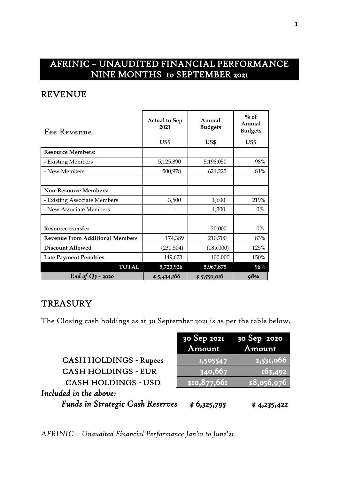# AFRINIC – UNAUDITED FINANCIAL PERFORMANCE NINE MONTHS to SEPTEMBER 2021

#### REVENUE

| Fee Revenue                            | <b>Actual to Sep</b><br>2021 | Annual<br><b>Budgets</b> | $\%$ of<br>Annual<br><b>Budgets</b> |
|----------------------------------------|------------------------------|--------------------------|-------------------------------------|
|                                        | US\$                         | US\$                     | US\$                                |
| <b>Resource Members:</b>               |                              |                          |                                     |
| - Existing Members                     | 5,125,890                    | 5,198,050                | 98%                                 |
| - New Members                          | 500,978                      | 621,225                  | 81%                                 |
|                                        |                              |                          |                                     |
| <b>Non-Resource Members:</b>           |                              |                          |                                     |
| - Existing Associate Members           | 3,500                        | 1,600                    | 219%                                |
| - New Associate Members                |                              | 1,300                    | $0\%$                               |
|                                        |                              |                          |                                     |
| <b>Resource transfer</b>               |                              | 20,000                   | $0\%$                               |
| <b>Revenue From Additional Members</b> | 174,389                      | 210,700                  | 83%                                 |
| <b>Discount Allowed</b>                | (230,504)                    | (185,000)                | 125%                                |
| <b>Late Payment Penalties</b>          | 149,673                      | 100,000                  | 150%                                |
| <b>TOTAL</b>                           | 5,723,926                    | 5,967,875                | $96\%$                              |
| End of $Q_3$ - 2020                    | \$5,434,166                  | \$5,550,016              | 98%                                 |

## **TREASURY**

The Closing cash holdings as at 30 September 2021 is as per the table below.

|                                         |                       | 30 Sep 2021 30 Sep 2020 |
|-----------------------------------------|-----------------------|-------------------------|
|                                         | Amount                | Amount                  |
| <b>CASH HOLDINGS - Rupees</b>           | 1,505547              | 2,531,066               |
| <b>CASH HOLDINGS - EUR</b>              | $\overline{)340,667}$ | 163,492                 |
| <b>CASH HOLDINGS - USD</b>              | \$10,877,661          | \$8,056,976             |
| Included in the above:                  |                       |                         |
| <b>Funds in Strategic Cash Reserves</b> | \$6,325,795           | \$4,235,422             |

*AFRINIC – Unaudited Financial Performance Jan'21 to June'21*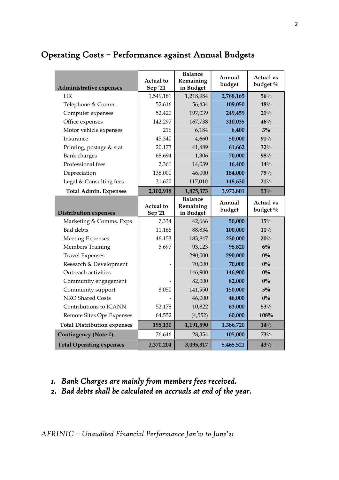# Operating Costs – Performance against Annual Budgets

| Administrative expenses            | Actual to<br>Sep '21       | <b>Balance</b><br>Remaining<br>in Budget | Annual<br>budget | <b>Actual vs</b><br>budget % |
|------------------------------------|----------------------------|------------------------------------------|------------------|------------------------------|
| HR                                 | 1,549,181                  | 1,218,984                                | 2,768,165        | 56%                          |
| Telephone & Comm.                  | 52,616                     | 56,434                                   | 109,050          | 48%                          |
| Computer expenses                  | 52,420                     | 197,039                                  | 249,459          | 21%                          |
| Office expenses                    | 142,297                    | 167,738                                  | 310,035          | 46%                          |
| Motor vehicle expenses             | 216                        | 6,184                                    | 6,400            | $3\%$                        |
| Insurance                          | 45,340                     | 4,660                                    | 50,000           | 91%                          |
| Printing, postage & stat           | 20,173                     | 41,489                                   | 61,662           | 32%                          |
| <b>Bank</b> charges                | 68,694                     | 1,306                                    | 70,000           | 98%                          |
| Professional fees                  | 2,361                      | 14,039                                   | 16,400           | 14%                          |
| Depreciation                       | 138,000                    | 46,000                                   | 184,000          | 75%                          |
| Legal & Consulting fees            | 31,620                     | 117,010                                  | 148,630          | $21\%$                       |
| <b>Total Admin. Expenses</b>       | 2,102,918                  | 1,875,373                                | 3,973,801        | 53%                          |
| <b>Distribution expenses</b>       | <b>Actual</b> to<br>Sep'21 | <b>Balance</b><br>Remaining<br>in Budget | Annual<br>budget | <b>Actual vs</b><br>budget % |
| Marketing & Comms. Exps            | 7,334                      | 42,666                                   | 50,000           | 15%                          |
| Bad debts                          | 11,166                     | 88,834                                   | 100,000          |                              |
| <b>Meeting Expenses</b>            |                            |                                          |                  | $11\%$                       |
|                                    | 46,153                     | 183,847                                  | 230,000          | 20%                          |
| Members Training                   | 5,697                      | 93,123                                   | 98,820           | $6\%$                        |
| <b>Travel Expenses</b>             |                            | 290,000                                  | 290,000          | $0\%$                        |
| Research & Development             |                            | 70,000                                   | 70,000           | $0\%$                        |
| Outreach activities                |                            | 146,900                                  | 146,900          | $0\%$                        |
| Community engagement               |                            | 82,000                                   | 82,000           | $0\%$                        |
| Community support                  | 8,050                      | 141,950                                  | 150,000          | $5\%$                        |
| NRO Shared Costs                   |                            | 46,000                                   | 46,000           | $0\%$                        |
| Contributions to ICANN             | 52,178                     | 10,822                                   | 63,000           | 83%                          |
| Remote Sites Ops Expenses          | 64,552                     | (4, 552)                                 | 60,000           | 108%                         |
| <b>Total Distribution expenses</b> | 195,130                    | 1,191,590                                | 1,386,720        | 14%                          |
| <b>Contingency (Note 1)</b>        | 76,646                     | 28,354                                   | 105,000          | 73%                          |

## *1. Bank Charges are mainly from members fees received.*

*2. Bad debts shall be calculated on accruals at end of the year.*